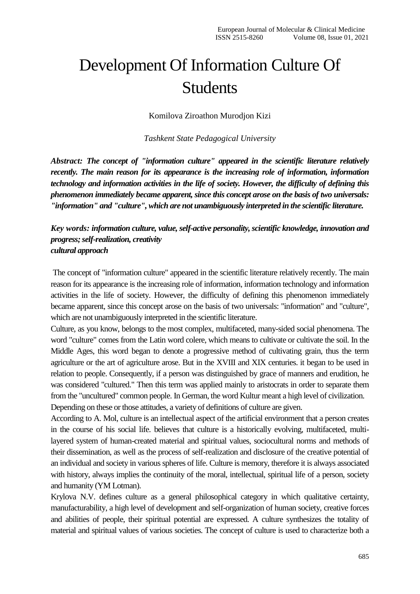## Development Of Information Culture Of Students

Komilova Ziroathon Murodjon Kizi

*Tashkent State Pedagogical University*

*Abstract: The concept of "information culture" appeared in the scientific literature relatively recently. The main reason for its appearance is the increasing role of information, information technology and information activities in the life of society. However, the difficulty of defining this phenomenon immediately became apparent, since this concept arose on the basis of two universals: "information" and "culture", which are not unambiguously interpreted in the scientific literature.*

*Key words: information culture, value, self-active personality, scientific knowledge, innovation and progress; self-realization, creativity cultural approach*

The concept of "information culture" appeared in the scientific literature relatively recently. The main reason for its appearance is the increasing role of information, information technology and information activities in the life of society. However, the difficulty of defining this phenomenon immediately became apparent, since this concept arose on the basis of two universals: "information" and "culture", which are not unambiguously interpreted in the scientific literature.

Culture, as you know, belongs to the most complex, multifaceted, many-sided social phenomena. The word "culture" comes from the Latin word colere, which means to cultivate or cultivate the soil. In the Middle Ages, this word began to denote a progressive method of cultivating grain, thus the term agriculture or the art of agriculture arose. But in the XVIII and XIX centuries. it began to be used in relation to people. Consequently, if a person was distinguished by grace of manners and erudition, he was considered "cultured." Then this term was applied mainly to aristocrats in order to separate them from the "uncultured" common people. In German, the word Kultur meant a high level of civilization. Depending on these or those attitudes, a variety of definitions of culture are given.

According to A. Mol, culture is an intellectual aspect of the artificial environment that a person creates in the course of his social life. believes that culture is a historically evolving, multifaceted, multilayered system of human-created material and spiritual values, sociocultural norms and methods of their dissemination, as well as the process of self-realization and disclosure of the creative potential of an individual and society in various spheres of life. Culture is memory, therefore it is always associated with history, always implies the continuity of the moral, intellectual, spiritual life of a person, society and humanity (YM Lotman).

Krylova N.V. defines culture as a general philosophical category in which qualitative certainty, manufacturability, a high level of development and self-organization of human society, creative forces and abilities of people, their spiritual potential are expressed. A culture synthesizes the totality of material and spiritual values of various societies. The concept of culture is used to characterize both a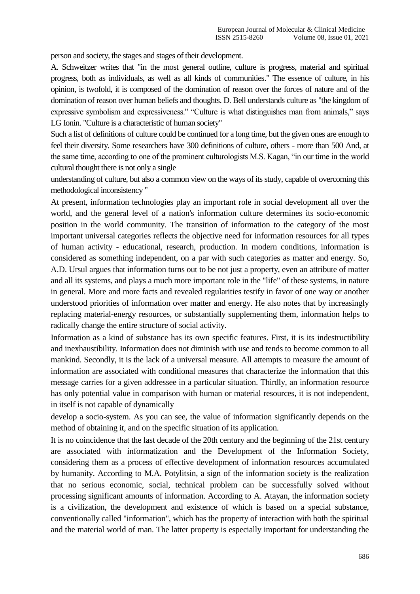person and society, the stages and stages of their development.

A. Schweitzer writes that "in the most general outline, culture is progress, material and spiritual progress, both as individuals, as well as all kinds of communities." The essence of culture, in his opinion, is twofold, it is composed of the domination of reason over the forces of nature and of the domination of reason over human beliefs and thoughts. D. Bell understands culture as "the kingdom of expressive symbolism and expressiveness." "Culture is what distinguishes man from animals," says LG Ionin. "Culture is a characteristic of human society"

Such a list of definitions of culture could be continued for a long time, but the given ones are enough to feel their diversity. Some researchers have 300 definitions of culture, others - more than 500 And, at the same time, according to one of the prominent culturologists M.S. Kagan, "in our time in the world cultural thought there is not only a single

understanding of culture, but also a common view on the ways of its study, capable of overcoming this methodological inconsistency "

At present, information technologies play an important role in social development all over the world, and the general level of a nation's information culture determines its socio-economic position in the world community. The transition of information to the category of the most important universal categories reflects the objective need for information resources for all types of human activity - educational, research, production. In modern conditions, information is considered as something independent, on a par with such categories as matter and energy. So, A.D. Ursul argues that information turns out to be not just a property, even an attribute of matter and all its systems, and plays a much more important role in the "life" of these systems, in nature in general. More and more facts and revealed regularities testify in favor of one way or another understood priorities of information over matter and energy. He also notes that by increasingly replacing material-energy resources, or substantially supplementing them, information helps to radically change the entire structure of social activity.

Information as a kind of substance has its own specific features. First, it is its indestructibility and inexhaustibility. Information does not diminish with use and tends to become common to all mankind. Secondly, it is the lack of a universal measure. All attempts to measure the amount of information are associated with conditional measures that characterize the information that this message carries for a given addressee in a particular situation. Thirdly, an information resource has only potential value in comparison with human or material resources, it is not independent, in itself is not capable of dynamically

develop a socio-system. As you can see, the value of information significantly depends on the method of obtaining it, and on the specific situation of its application.

It is no coincidence that the last decade of the 20th century and the beginning of the 21st century are associated with informatization and the Development of the Information Society, considering them as a process of effective development of information resources accumulated by humanity. According to M.A. Potylitsin, a sign of the information society is the realization that no serious economic, social, technical problem can be successfully solved without processing significant amounts of information. According to A. Atayan, the information society is a civilization, the development and existence of which is based on a special substance, conventionally called "information", which has the property of interaction with both the spiritual and the material world of man. The latter property is especially important for understanding the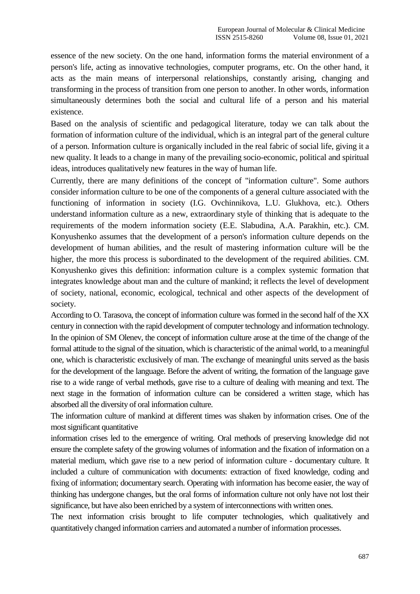essence of the new society. On the one hand, information forms the material environment of a person's life, acting as innovative technologies, computer programs, etc. On the other hand, it acts as the main means of interpersonal relationships, constantly arising, changing and transforming in the process of transition from one person to another. In other words, information simultaneously determines both the social and cultural life of a person and his material existence.

Based on the analysis of scientific and pedagogical literature, today we can talk about the formation of information culture of the individual, which is an integral part of the general culture of a person. Information culture is organically included in the real fabric of social life, giving it a new quality. It leads to a change in many of the prevailing socio-economic, political and spiritual ideas, introduces qualitatively new features in the way of human life.

Currently, there are many definitions of the concept of "information culture". Some authors consider information culture to be one of the components of a general culture associated with the functioning of information in society (I.G. Ovchinnikova, L.U. Glukhova, etc.). Others understand information culture as a new, extraordinary style of thinking that is adequate to the requirements of the modern information society (E.E. Slabudina, A.A. Parakhin, etc.). CM. Konyushenko assumes that the development of a person's information culture depends on the development of human abilities, and the result of mastering information culture will be the higher, the more this process is subordinated to the development of the required abilities. CM. Konyushenko gives this definition: information culture is a complex systemic formation that integrates knowledge about man and the culture of mankind; it reflects the level of development of society, national, economic, ecological, technical and other aspects of the development of society.

According to O. Tarasova, the concept of information culture was formed in the second half of the XX century in connection with the rapid development of computer technology and information technology. In the opinion of SM Olenev, the concept of information culture arose at the time of the change of the formal attitude to the signal of the situation, which is characteristic of the animal world, to a meaningful one, which is characteristic exclusively of man. The exchange of meaningful units served as the basis for the development of the language. Before the advent of writing, the formation of the language gave rise to a wide range of verbal methods, gave rise to a culture of dealing with meaning and text. The next stage in the formation of information culture can be considered a written stage, which has absorbed all the diversity of oral information culture.

The information culture of mankind at different times was shaken by information crises. One of the most significant quantitative

information crises led to the emergence of writing. Oral methods of preserving knowledge did not ensure the complete safety of the growing volumes of information and the fixation of information on a material medium, which gave rise to a new period of information culture - documentary culture. It included a culture of communication with documents: extraction of fixed knowledge, coding and fixing of information; documentary search. Operating with information has become easier, the way of thinking has undergone changes, but the oral forms of information culture not only have not lost their significance, but have also been enriched by a system of interconnections with written ones.

The next information crisis brought to life computer technologies, which qualitatively and quantitatively changed information carriers and automated a number of information processes.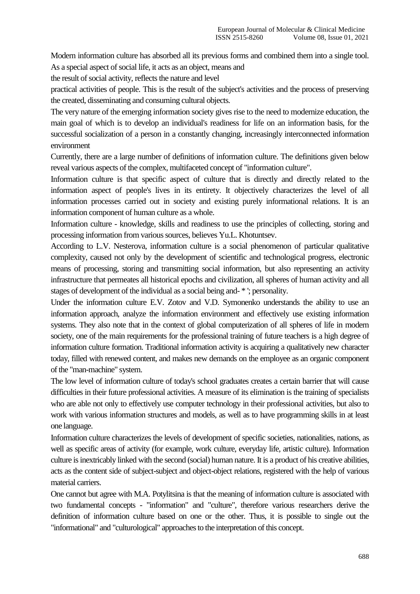Modern information culture has absorbed all its previous forms and combined them into a single tool. As a special aspect of social life, it acts as an object, means and

the result of social activity, reflects the nature and level

practical activities of people. This is the result of the subject's activities and the process of preserving the created, disseminating and consuming cultural objects.

The very nature of the emerging information society gives rise to the need to modernize education, the main goal of which is to develop an individual's readiness for life on an information basis, for the successful socialization of a person in a constantly changing, increasingly interconnected information environment

Currently, there are a large number of definitions of information culture. The definitions given below reveal various aspects of the complex, multifaceted concept of "information culture".

Information culture is that specific aspect of culture that is directly and directly related to the information aspect of people's lives in its entirety. It objectively characterizes the level of all information processes carried out in society and existing purely informational relations. It is an information component of human culture as a whole.

Information culture - knowledge, skills and readiness to use the principles of collecting, storing and processing information from various sources, believes Yu.L. Khotuntsev.

According to L.V. Nesterova, information culture is a social phenomenon of particular qualitative complexity, caused not only by the development of scientific and technological progress, electronic means of processing, storing and transmitting social information, but also representing an activity infrastructure that permeates all historical epochs and civilization, all spheres of human activity and all stages of development of the individual as a social being and- \* '; personality.

Under the information culture E.V. Zotov and V.D. Symonenko understands the ability to use an information approach, analyze the information environment and effectively use existing information systems. They also note that in the context of global computerization of all spheres of life in modern society, one of the main requirements for the professional training of future teachers is a high degree of information culture formation. Traditional information activity is acquiring a qualitatively new character today, filled with renewed content, and makes new demands on the employee as an organic component of the "man-machine" system.

The low level of information culture of today's school graduates creates a certain barrier that will cause difficulties in their future professional activities. A measure of its elimination is the training of specialists who are able not only to effectively use computer technology in their professional activities, but also to work with various information structures and models, as well as to have programming skills in at least one language.

Information culture characterizes the levels of development of specific societies, nationalities, nations, as well as specific areas of activity (for example, work culture, everyday life, artistic culture). Information culture is inextricably linked with the second (social) human nature. It is a product of his creative abilities, acts as the content side of subject-subject and object-object relations, registered with the help of various material carriers.

One cannot but agree with M.A. Potylitsina is that the meaning of information culture is associated with two fundamental concepts - "information" and "culture", therefore various researchers derive the definition of information culture based on one or the other. Thus, it is possible to single out the "informational" and "culturological" approaches to the interpretation of this concept.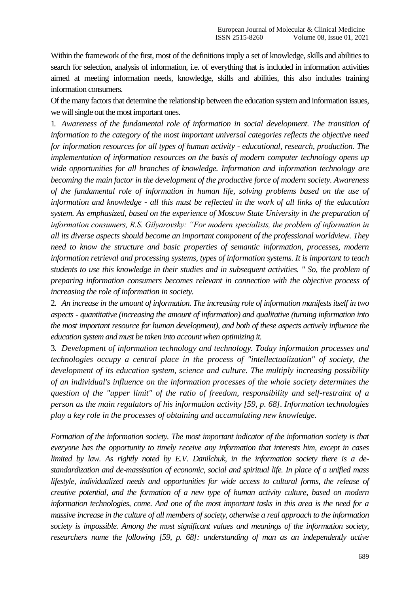Within the framework of the first, most of the definitions imply a set of knowledge, skills and abilities to search for selection, analysis of information, i.e. of everything that is included in information activities aimed at meeting information needs, knowledge, skills and abilities, this also includes training information consumers.

Of the many factors that determine the relationship between the education system and information issues, we will single out the most important ones.

1. *Awareness of the fundamental role of information in social development. The transition of information to the category of the most important universal categories reflects the objective need for information resources for all types of human activity - educational, research, production. The implementation of information resources on the basis of modern computer technology opens up wide opportunities for all branches of knowledge. Information and information technology are becoming the main factor in the development of the productive force of modern society. Awareness of the fundamental role of information in human life, solving problems based on the use of information and knowledge - all this must be reflected in the work of all links of the education system. As emphasized, based on the experience of Moscow State University in the preparation of information consumers, R.S. Gilyarovsky: "For modern specialists, the problem of information in all its diverse aspects should become an important component of the professional worldview. They need to know the structure and basic properties of semantic information, processes, modern information retrieval and processing systems, types of information systems. It is important to teach students to use this knowledge in their studies and in subsequent activities. " So, the problem of preparing information consumers becomes relevant in connection with the objective process of increasing the role of information in society.*

2. *An increase in the amount of information. The increasing role of information manifests itself in two aspects - quantitative (increasing the amount of information) and qualitative (turning information into the most important resource for human development), and both of these aspects actively influence the education system and must be taken into account when optimizing it.*

3. *Development of information technology and technology. Today information processes and technologies occupy a central place in the process of "intellectualization" of society, the development of its education system, science and culture. The multiply increasing possibility of an individual's influence on the information processes of the whole society determines the question of the "upper limit" of the ratio of freedom, responsibility and self-restraint of a person as the main regulators of his information activity [59, p. 68]. Information technologies play a key role in the processes of obtaining and accumulating new knowledge.*

*Formation of the information society. The most important indicator of the information society is that everyone has the opportunity to timely receive any information that interests him, except in cases limited by law. As rightly noted by E.V. Danilchuk, in the information society there is a destandardization and de-massisation of economic, social and spiritual life. In place of a unified mass lifestyle, individualized needs and opportunities for wide access to cultural forms, the release of creative potential, and the formation of a new type of human activity culture, based on modern information technologies, come. And one of the most important tasks in this area is the need for a massive increase in the culture of all members of society, otherwise a real approach to the information society is impossible. Among the most significant values and meanings of the information society, researchers name the following [59, p. 68]: understanding of man as an independently active*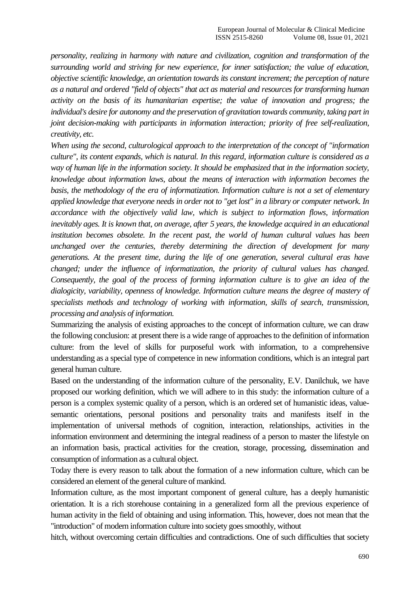*personality, realizing in harmony with nature and civilization, cognition and transformation of the surrounding world and striving for new experience, for inner satisfaction; the value of education, objective scientific knowledge, an orientation towards its constant increment; the perception of nature as a natural and ordered "field of objects" that act as material and resources for transforming human activity on the basis of its humanitarian expertise; the value of innovation and progress; the individual's desire for autonomy and the preservation of gravitation towards community, taking part in joint decision-making with participants in information interaction; priority of free self-realization, creativity, etc.*

*When using the second, culturological approach to the interpretation of the concept of "information culture", its content expands, which is natural. In this regard, information culture is considered as a way of human life in the information society. It should be emphasized that in the information society, knowledge about information laws, about the means of interaction with information becomes the basis, the methodology of the era of informatization. Information culture is not a set of elementary applied knowledge that everyone needs in order not to "get lost" in a library or computer network. In accordance with the objectively valid law, which is subject to information flows, information inevitably ages. It is known that, on average, after 5 years, the knowledge acquired in an educational institution becomes obsolete. In the recent past, the world of human cultural values has been unchanged over the centuries, thereby determining the direction of development for many generations. At the present time, during the life of one generation, several cultural eras have changed; under the influence of informatization, the priority of cultural values has changed. Consequently, the goal of the process of forming information culture is to give an idea of the dialogicity, variability, openness of knowledge. Information culture means the degree of mastery of specialists methods and technology of working with information, skills of search, transmission, processing and analysis of information.*

Summarizing the analysis of existing approaches to the concept of information culture, we can draw the following conclusion: at present there is a wide range of approaches to the definition of information culture: from the level of skills for purposeful work with information, to a comprehensive understanding as a special type of competence in new information conditions, which is an integral part general human culture.

Based on the understanding of the information culture of the personality, E.V. Danilchuk, we have proposed our working definition, which we will adhere to in this study: the information culture of a person is a complex systemic quality of a person, which is an ordered set of humanistic ideas, valuesemantic orientations, personal positions and personality traits and manifests itself in the implementation of universal methods of cognition, interaction, relationships, activities in the information environment and determining the integral readiness of a person to master the lifestyle on an information basis, practical activities for the creation, storage, processing, dissemination and consumption of information as a cultural object.

Today there is every reason to talk about the formation of a new information culture, which can be considered an element of the general culture of mankind.

Information culture, as the most important component of general culture, has a deeply humanistic orientation. It is a rich storehouse containing in a generalized form all the previous experience of human activity in the field of obtaining and using information. This, however, does not mean that the "introduction" of modern information culture into society goes smoothly, without

hitch, without overcoming certain difficulties and contradictions. One of such difficulties that society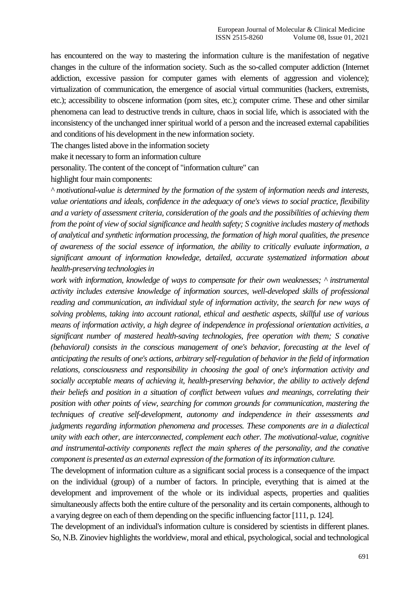has encountered on the way to mastering the information culture is the manifestation of negative changes in the culture of the information society. Such as the so-called computer addiction (Internet addiction, excessive passion for computer games with elements of aggression and violence); virtualization of communication, the emergence of asocial virtual communities (hackers, extremists, etc.); accessibility to obscene information (porn sites, etc.); computer crime. These and other similar phenomena can lead to destructive trends in culture, chaos in social life, which is associated with the inconsistency of the unchanged inner spiritual world of a person and the increased external capabilities and conditions of his development in the new information society.

The changes listed above in the information society

make it necessary to form an information culture

personality. The content of the concept of "information culture" can

highlight four main components:

*^ motivational-value is determined by the formation of the system of information needs and interests, value orientations and ideals, confidence in the adequacy of one's views to social practice, flexibility and a variety of assessment criteria, consideration of the goals and the possibilities of achieving them from the point of view of social significance and health safety; S cognitive includes mastery of methods of analytical and synthetic information processing, the formation of high moral qualities, the presence of awareness of the social essence of information, the ability to critically evaluate information, a significant amount of information knowledge, detailed, accurate systematized information about health-preserving technologies in*

*work with information, knowledge of ways to compensate for their own weaknesses; ^ instrumental activity includes extensive knowledge of information sources, well-developed skills of professional reading and communication, an individual style of information activity, the search for new ways of solving problems, taking into account rational, ethical and aesthetic aspects, skillful use of various means of information activity, a high degree of independence in professional orientation activities, a significant number of mastered health-saving technologies, free operation with them; S conative (behavioral) consists in the conscious management of one's behavior, forecasting at the level of anticipating the results of one's actions, arbitrary self-regulation of behavior in the field of information relations, consciousness and responsibility in choosing the goal of one's information activity and socially acceptable means of achieving it, health-preserving behavior, the ability to actively defend their beliefs and position in a situation of conflict between values and meanings, correlating their position with other points of view, searching for common grounds for communication, mastering the techniques of creative self-development, autonomy and independence in their assessments and judgments regarding information phenomena and processes. These components are in a dialectical unity with each other, are interconnected, complement each other. The motivational-value, cognitive and instrumental-activity components reflect the main spheres of the personality, and the conative component is presented as an external expression of the formation of its information culture.*

The development of information culture as a significant social process is a consequence of the impact on the individual (group) of a number of factors. In principle, everything that is aimed at the development and improvement of the whole or its individual aspects, properties and qualities simultaneously affects both the entire culture of the personality and its certain components, although to a varying degree on each of them depending on the specific influencing factor [111, p. 124].

The development of an individual's information culture is considered by scientists in different planes. So, N.B. Zinoviev highlights the worldview, moral and ethical, psychological, social and technological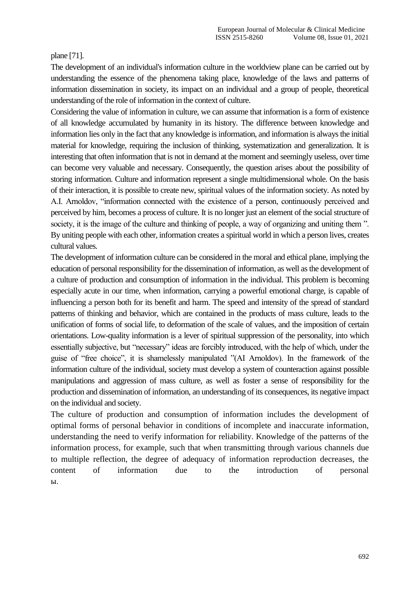plane [71].

The development of an individual's information culture in the worldview plane can be carried out by understanding the essence of the phenomena taking place, knowledge of the laws and patterns of information dissemination in society, its impact on an individual and a group of people, theoretical understanding of the role of information in the context of culture.

Considering the value of information in culture, we can assume that information is a form of existence of all knowledge accumulated by humanity in its history. The difference between knowledge and information lies only in the fact that any knowledge is information, and information is always the initial material for knowledge, requiring the inclusion of thinking, systematization and generalization. It is interesting that often information that is not in demand at the moment and seemingly useless, over time can become very valuable and necessary. Consequently, the question arises about the possibility of storing information. Culture and information represent a single multidimensional whole. On the basis of their interaction, it is possible to create new, spiritual values of the information society. As noted by A.I. Arnoldov, "information connected with the existence of a person, continuously perceived and perceived by him, becomes a process of culture. It is no longer just an element of the social structure of society, it is the image of the culture and thinking of people, a way of organizing and uniting them ". By uniting people with each other, information creates a spiritual world in which a person lives, creates cultural values.

The development of information culture can be considered in the moral and ethical plane, implying the education of personal responsibility for the dissemination of information, as well as the development of a culture of production and consumption of information in the individual. This problem is becoming especially acute in our time, when information, carrying a powerful emotional charge, is capable of influencing a person both for its benefit and harm. The speed and intensity of the spread of standard patterns of thinking and behavior, which are contained in the products of mass culture, leads to the unification of forms of social life, to deformation of the scale of values, and the imposition of certain orientations. Low-quality information is a lever of spiritual suppression of the personality, into which essentially subjective, but "necessary" ideas are forcibly introduced, with the help of which, under the guise of "free choice", it is shamelessly manipulated "(AI Arnoldov). In the framework of the information culture of the individual, society must develop a system of counteraction against possible manipulations and aggression of mass culture, as well as foster a sense of responsibility for the production and dissemination of information, an understanding of its consequences, its negative impact on the individual and society.

The culture of production and consumption of information includes the development of optimal forms of personal behavior in conditions of incomplete and inaccurate information, understanding the need to verify information for reliability. Knowledge of the patterns of the information process, for example, such that when transmitting through various channels due to multiple reflection, the degree of adequacy of information reproduction decreases, the content of information due to the introduction of personal ы.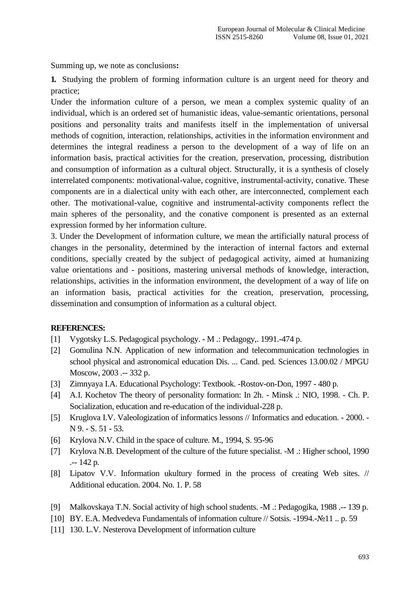Summing up, we note as conclusions**:**

**1.** Studying the problem of forming information culture is an urgent need for theory and practice;

Under the information culture of a person, we mean a complex systemic quality of an individual, which is an ordered set of humanistic ideas, value-semantic orientations, personal positions and personality traits and manifests itself in the implementation of universal methods of cognition, interaction, relationships, activities in the information environment and determines the integral readiness a person to the development of a way of life on an information basis, practical activities for the creation, preservation, processing, distribution and consumption of information as a cultural object. Structurally, it is a synthesis of closely interrelated components: motivational-value, cognitive, instrumental-activity, conative. These components are in a dialectical unity with each other, are interconnected, complement each other. The motivational-value, cognitive and instrumental-activity components reflect the main spheres of the personality, and the conative component is presented as an external expression formed by her information culture.

3. Under the Development of information culture, we mean the artificially natural process of changes in the personality, determined by the interaction of internal factors and external conditions, specially created by the subject of pedagogical activity, aimed at humanizing value orientations and - positions, mastering universal methods of knowledge, interaction, relationships, activities in the information environment, the development of a way of life on an information basis, practical activities for the creation, preservation, processing, dissemination and consumption of information as a cultural object.

## **REFERENCES:**

- [1] Vygotsky L.S. Pedagogical psychology. M .: Pedagogy, 1991.-474 p.
- [2] Gomulina N.N. Application of new information and telecommunication technologies in school physical and astronomical education Dis. ... Cand. ped. Sciences 13.00.02 / MPGU Moscow, 2003 .-- 332 p.
- [3] Zimnyaya I.A. Educational Psychology: Textbook. -Rostov-on-Don, 1997 480 p.
- [4] A.I. Kochetov The theory of personality formation: In 2h. Minsk .: NIO, 1998. Ch. P. Socialization, education and re-education of the individual-228 p.
- [5] Kruglova I.V. Valeologization of informatics lessons // Informatics and education. 2000. N 9. - S. 51 - 53.
- [6] Krylova N.V. Child in the space of culture. M., 1994, S. 95-96
- [7] Krylova N.B. Development of the culture of the future specialist. -M .: Higher school, 1990 .-- 142 p.
- [8] Lipatov V.V. Information ukultury formed in the process of creating Web sites. // Additional education. 2004. No. 1. P. 58
- [9] Malkovskaya T.N. Social activity of high school students. -M .: Pedagogika, 1988 .-- 139 p.
- [10] BY. E.A. Medvedeva Fundamentals of information culture // Sotsis. -1994.-№11 .. p. 59
- [11] 130. L.V. Nesterova Development of information culture